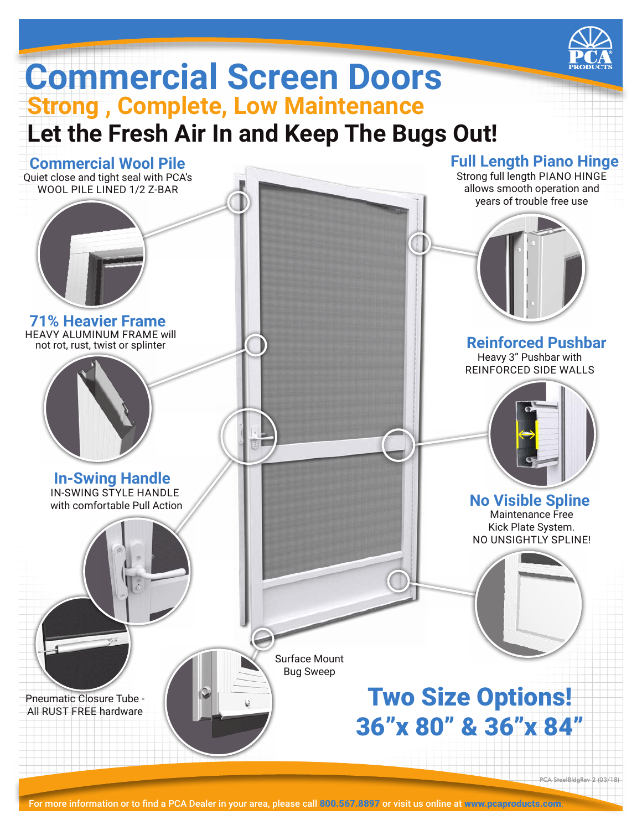

## **Commercial Screen Doors Strong , Complete, Low Maintenance Let the Fresh Air In and Keep The Bugs Out!**

IN-SWING STYLE HANDLE with comfortable Pull Action Surface Mount Bug Sweep Quiet close and tight seal with PCA's WOOL PILE LINED 1/2 Z-BAR HEAVY ALUMINUM FRAME will not rot, rust, twist or splinter Strong full length PIANO HINGE allows smooth operation and years of trouble free use PCA SteelBldgRev 2 (03/18 Two Size Options! 36"x 80" & 36"x 84" Maintenance Free Kick Plate System. NO UNSIGHTLY SPLINE! Pneumatic Closure Tube - All RUST FREE hardware Heavy 3" Pushbar with REINFORCED SIDE WALLS **Commercial Wool Pile 71% Heavier Frame In-Swing Handle Full Length Piano Hinge Reinforced Pushbar No Visible Spline**